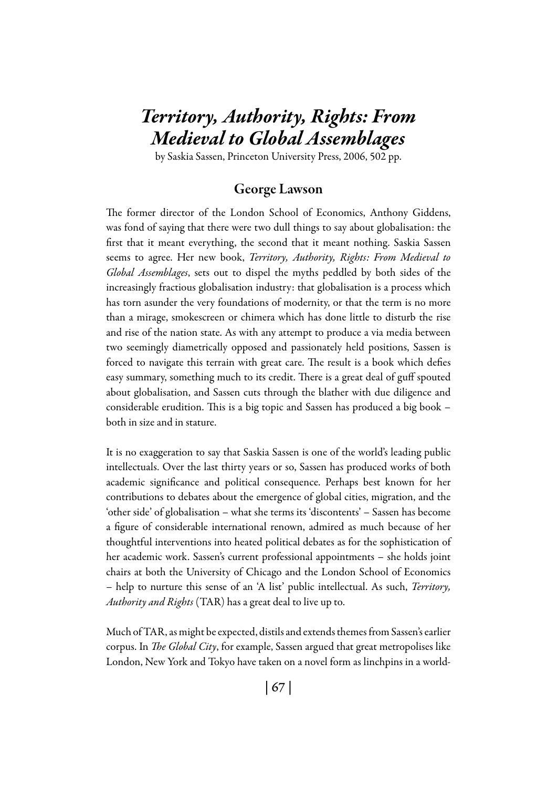# *Territory, Authority, Rights: From Medieval to Global Assemblages*

by Saskia Sassen, Princeton University Press, 2006, 502 pp.

# George Lawson

The former director of the London School of Economics, Anthony Giddens, was fond of saying that there were two dull things to say about globalisation: the first that it meant everything, the second that it meant nothing. Saskia Sassen seems to agree. Her new book, *Territory, Authority, Rights: From Medieval to Global Assemblages*, sets out to dispel the myths peddled by both sides of the increasingly fractious globalisation industry: that globalisation is a process which has torn asunder the very foundations of modernity, or that the term is no more than a mirage, smokescreen or chimera which has done little to disturb the rise and rise of the nation state. As with any attempt to produce a via media between two seemingly diametrically opposed and passionately held positions, Sassen is forced to navigate this terrain with great care. The result is a book which defies easy summary, something much to its credit. There is a great deal of guff spouted about globalisation, and Sassen cuts through the blather with due diligence and considerable erudition. This is a big topic and Sassen has produced a big book – both in size and in stature.

It is no exaggeration to say that Saskia Sassen is one of the world's leading public intellectuals. Over the last thirty years or so, Sassen has produced works of both academic significance and political consequence. Perhaps best known for her contributions to debates about the emergence of global cities, migration, and the 'other side' of globalisation – what she terms its 'discontents' – Sassen has become a figure of considerable international renown, admired as much because of her thoughtful interventions into heated political debates as for the sophistication of her academic work. Sassen's current professional appointments – she holds joint chairs at both the University of Chicago and the London School of Economics – help to nurture this sense of an 'A list' public intellectual. As such, *Territory, Authority and Rights* (TAR) has a great deal to live up to.

Much of TAR, as might be expected, distils and extends themes from Sassen's earlier corpus. In *The Global City*, for example, Sassen argued that great metropolises like London, New York and Tokyo have taken on a novel form as linchpins in a world-

| 67 |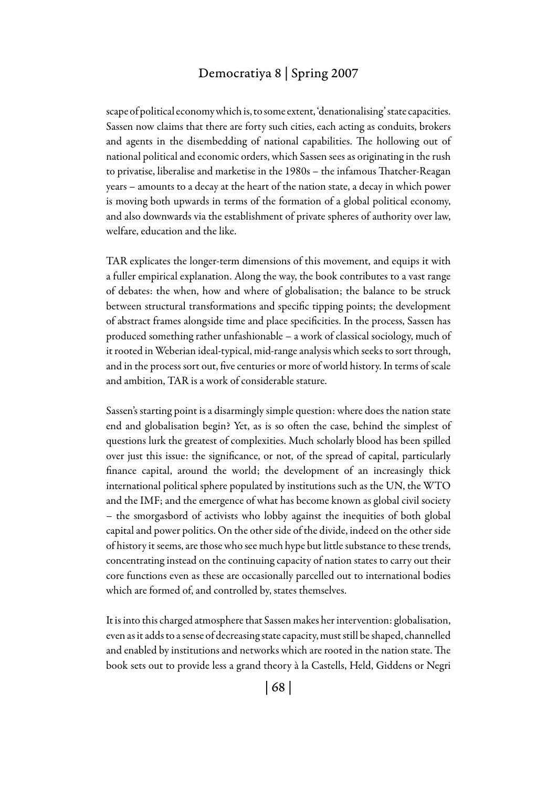## Democratiya 8 | Spring 2007

scape of political economy which is, to some extent, 'denationalising' state capacities. Sassen now claims that there are forty such cities, each acting as conduits, brokers and agents in the disembedding of national capabilities. The hollowing out of national political and economic orders, which Sassen sees as originating in the rush to privatise, liberalise and marketise in the 1980s – the infamous Thatcher-Reagan years – amounts to a decay at the heart of the nation state, a decay in which power is moving both upwards in terms of the formation of a global political economy, and also downwards via the establishment of private spheres of authority over law, welfare, education and the like.

TAR explicates the longer-term dimensions of this movement, and equips it with a fuller empirical explanation. Along the way, the book contributes to a vast range of debates: the when, how and where of globalisation; the balance to be struck between structural transformations and specific tipping points; the development of abstract frames alongside time and place specificities. In the process, Sassen has produced something rather unfashionable – a work of classical sociology, much of it rooted in Weberian ideal-typical, mid-range analysis which seeks to sort through, and in the process sort out, five centuries or more of world history. In terms of scale and ambition, TAR is a work of considerable stature.

Sassen's starting point is a disarmingly simple question: where does the nation state end and globalisation begin? Yet, as is so often the case, behind the simplest of questions lurk the greatest of complexities. Much scholarly blood has been spilled over just this issue: the significance, or not, of the spread of capital, particularly finance capital, around the world; the development of an increasingly thick international political sphere populated by institutions such as the UN, the WTO and the IMF; and the emergence of what has become known as global civil society – the smorgasbord of activists who lobby against the inequities of both global capital and power politics. On the other side of the divide, indeed on the other side of history it seems, are those who see much hype but little substance to these trends, concentrating instead on the continuing capacity of nation states to carry out their core functions even as these are occasionally parcelled out to international bodies which are formed of, and controlled by, states themselves.

It is into this charged atmosphere that Sassen makes her intervention: globalisation, even as it adds to a sense of decreasing state capacity, must still be shaped, channelled and enabled by institutions and networks which are rooted in the nation state. The book sets out to provide less a grand theory à la Castells, Held, Giddens or Negri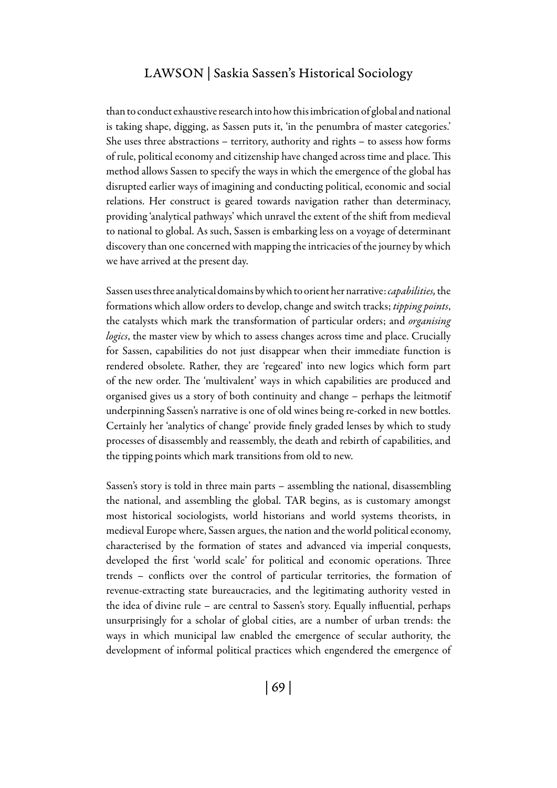## Lawson | Saskia Sassen's Historical Sociology

than to conduct exhaustive research into how this imbrication of global and national is taking shape, digging, as Sassen puts it, 'in the penumbra of master categories.' She uses three abstractions – territory, authority and rights – to assess how forms of rule, political economy and citizenship have changed across time and place. This method allows Sassen to specify the ways in which the emergence of the global has disrupted earlier ways of imagining and conducting political, economic and social relations. Her construct is geared towards navigation rather than determinacy, providing 'analytical pathways' which unravel the extent of the shift from medieval to national to global. As such, Sassen is embarking less on a voyage of determinant discovery than one concerned with mapping the intricacies of the journey by which we have arrived at the present day.

Sassen uses three analytical domains by which to orient her narrative: *capabilities,* the formations which allow orders to develop, change and switch tracks; *tipping points*, the catalysts which mark the transformation of particular orders; and *organising logics*, the master view by which to assess changes across time and place. Crucially for Sassen, capabilities do not just disappear when their immediate function is rendered obsolete. Rather, they are 'regeared' into new logics which form part of the new order. The 'multivalent' ways in which capabilities are produced and organised gives us a story of both continuity and change – perhaps the leitmotif underpinning Sassen's narrative is one of old wines being re-corked in new bottles. Certainly her 'analytics of change' provide finely graded lenses by which to study processes of disassembly and reassembly, the death and rebirth of capabilities, and the tipping points which mark transitions from old to new.

Sassen's story is told in three main parts – assembling the national, disassembling the national, and assembling the global. TAR begins, as is customary amongst most historical sociologists, world historians and world systems theorists, in medieval Europe where, Sassen argues, the nation and the world political economy, characterised by the formation of states and advanced via imperial conquests, developed the first 'world scale' for political and economic operations. Three trends – conflicts over the control of particular territories, the formation of revenue-extracting state bureaucracies, and the legitimating authority vested in the idea of divine rule – are central to Sassen's story. Equally influential, perhaps unsurprisingly for a scholar of global cities, are a number of urban trends: the ways in which municipal law enabled the emergence of secular authority, the development of informal political practices which engendered the emergence of

| 69 |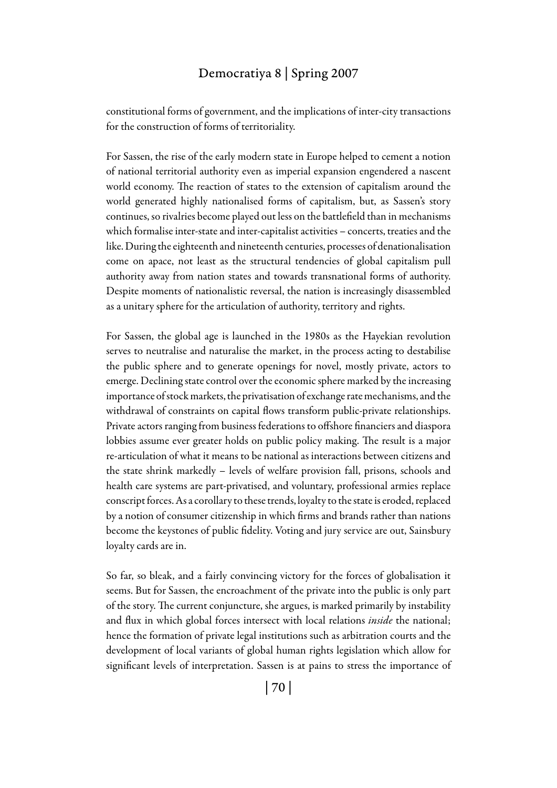# Democratiya 8 | Spring 2007

constitutional forms of government, and the implications of inter-city transactions for the construction of forms of territoriality.

For Sassen, the rise of the early modern state in Europe helped to cement a notion of national territorial authority even as imperial expansion engendered a nascent world economy. The reaction of states to the extension of capitalism around the world generated highly nationalised forms of capitalism, but, as Sassen's story continues, so rivalries become played out less on the battlefield than in mechanisms which formalise inter-state and inter-capitalist activities – concerts, treaties and the like. During the eighteenth and nineteenth centuries, processes of denationalisation come on apace, not least as the structural tendencies of global capitalism pull authority away from nation states and towards transnational forms of authority. Despite moments of nationalistic reversal, the nation is increasingly disassembled as a unitary sphere for the articulation of authority, territory and rights.

For Sassen, the global age is launched in the 1980s as the Hayekian revolution serves to neutralise and naturalise the market, in the process acting to destabilise the public sphere and to generate openings for novel, mostly private, actors to emerge. Declining state control over the economic sphere marked by the increasing importance of stock markets, the privatisation of exchange rate mechanisms, and the withdrawal of constraints on capital flows transform public-private relationships. Private actors ranging from business federations to offshore financiers and diaspora lobbies assume ever greater holds on public policy making. The result is a major re-articulation of what it means to be national as interactions between citizens and the state shrink markedly – levels of welfare provision fall, prisons, schools and health care systems are part-privatised, and voluntary, professional armies replace conscript forces. As a corollary to these trends, loyalty to the state is eroded, replaced by a notion of consumer citizenship in which firms and brands rather than nations become the keystones of public fidelity. Voting and jury service are out, Sainsbury loyalty cards are in.

So far, so bleak, and a fairly convincing victory for the forces of globalisation it seems. But for Sassen, the encroachment of the private into the public is only part of the story. The current conjuncture, she argues, is marked primarily by instability and flux in which global forces intersect with local relations *inside* the national; hence the formation of private legal institutions such as arbitration courts and the development of local variants of global human rights legislation which allow for significant levels of interpretation. Sassen is at pains to stress the importance of

| 70 |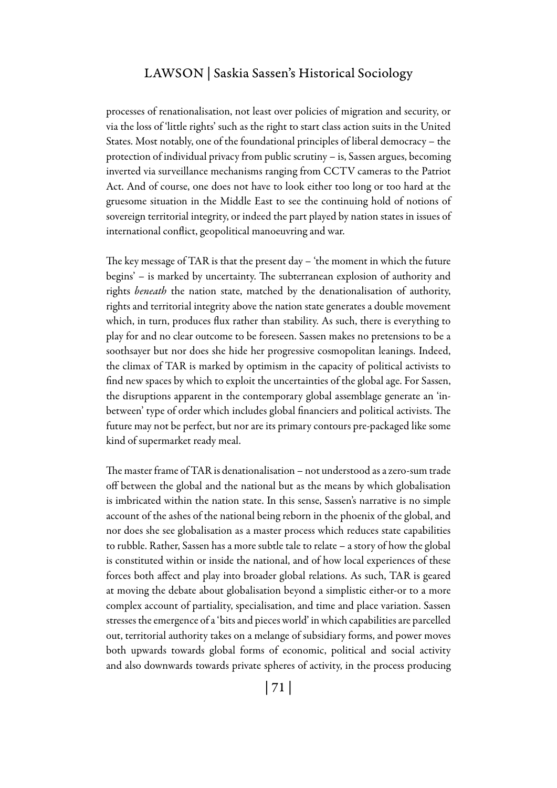#### Lawson | Saskia Sassen's Historical Sociology

processes of renationalisation, not least over policies of migration and security, or via the loss of 'little rights' such as the right to start class action suits in the United States. Most notably, one of the foundational principles of liberal democracy – the protection of individual privacy from public scrutiny – is, Sassen argues, becoming inverted via surveillance mechanisms ranging from CCTV cameras to the Patriot Act. And of course, one does not have to look either too long or too hard at the gruesome situation in the Middle East to see the continuing hold of notions of sovereign territorial integrity, or indeed the part played by nation states in issues of international conflict, geopolitical manoeuvring and war.

The key message of TAR is that the present day – 'the moment in which the future begins' – is marked by uncertainty. The subterranean explosion of authority and rights *beneath* the nation state, matched by the denationalisation of authority, rights and territorial integrity above the nation state generates a double movement which, in turn, produces flux rather than stability. As such, there is everything to play for and no clear outcome to be foreseen. Sassen makes no pretensions to be a soothsayer but nor does she hide her progressive cosmopolitan leanings. Indeed, the climax of TAR is marked by optimism in the capacity of political activists to find new spaces by which to exploit the uncertainties of the global age. For Sassen, the disruptions apparent in the contemporary global assemblage generate an 'inbetween' type of order which includes global financiers and political activists. The future may not be perfect, but nor are its primary contours pre-packaged like some kind of supermarket ready meal.

The master frame of TAR is denationalisation – not understood as a zero-sum trade off between the global and the national but as the means by which globalisation is imbricated within the nation state. In this sense, Sassen's narrative is no simple account of the ashes of the national being reborn in the phoenix of the global, and nor does she see globalisation as a master process which reduces state capabilities to rubble. Rather, Sassen has a more subtle tale to relate – a story of how the global is constituted within or inside the national, and of how local experiences of these forces both affect and play into broader global relations. As such, TAR is geared at moving the debate about globalisation beyond a simplistic either-or to a more complex account of partiality, specialisation, and time and place variation. Sassen stresses the emergence of a 'bits and pieces world' in which capabilities are parcelled out, territorial authority takes on a melange of subsidiary forms, and power moves both upwards towards global forms of economic, political and social activity and also downwards towards private spheres of activity, in the process producing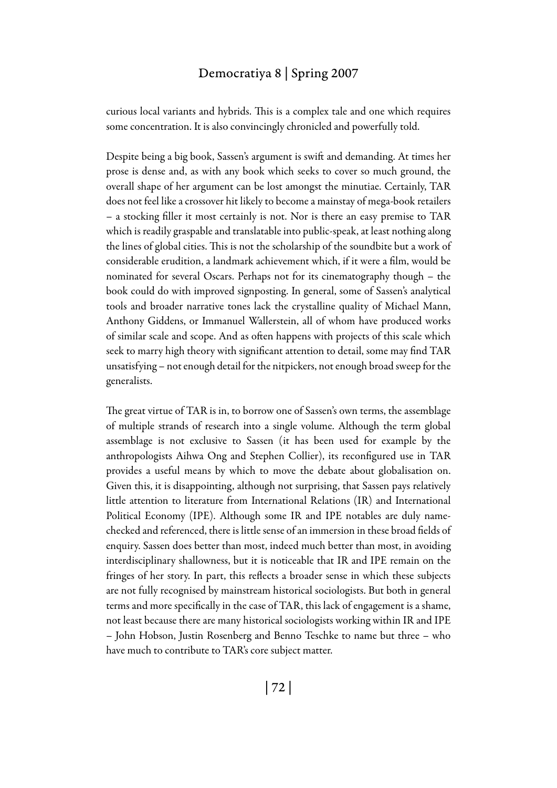#### Democratiya 8 | Spring 2007

curious local variants and hybrids. This is a complex tale and one which requires some concentration. It is also convincingly chronicled and powerfully told.

Despite being a big book, Sassen's argument is swift and demanding. At times her prose is dense and, as with any book which seeks to cover so much ground, the overall shape of her argument can be lost amongst the minutiae. Certainly, TAR does not feel like a crossover hit likely to become a mainstay of mega-book retailers – a stocking filler it most certainly is not. Nor is there an easy premise to TAR which is readily graspable and translatable into public-speak, at least nothing along the lines of global cities. This is not the scholarship of the soundbite but a work of considerable erudition, a landmark achievement which, if it were a film, would be nominated for several Oscars. Perhaps not for its cinematography though – the book could do with improved signposting. In general, some of Sassen's analytical tools and broader narrative tones lack the crystalline quality of Michael Mann, Anthony Giddens, or Immanuel Wallerstein, all of whom have produced works of similar scale and scope. And as often happens with projects of this scale which seek to marry high theory with significant attention to detail, some may find TAR unsatisfying – not enough detail for the nitpickers, not enough broad sweep for the generalists.

The great virtue of TAR is in, to borrow one of Sassen's own terms, the assemblage of multiple strands of research into a single volume. Although the term global assemblage is not exclusive to Sassen (it has been used for example by the anthropologists Aihwa Ong and Stephen Collier), its reconfigured use in TAR provides a useful means by which to move the debate about globalisation on. Given this, it is disappointing, although not surprising, that Sassen pays relatively little attention to literature from International Relations (IR) and International Political Economy (IPE). Although some IR and IPE notables are duly namechecked and referenced, there is little sense of an immersion in these broad fields of enquiry. Sassen does better than most, indeed much better than most, in avoiding interdisciplinary shallowness, but it is noticeable that IR and IPE remain on the fringes of her story. In part, this reflects a broader sense in which these subjects are not fully recognised by mainstream historical sociologists. But both in general terms and more specifically in the case of TAR, this lack of engagement is a shame, not least because there are many historical sociologists working within IR and IPE – John Hobson, Justin Rosenberg and Benno Teschke to name but three – who have much to contribute to TAR's core subject matter.